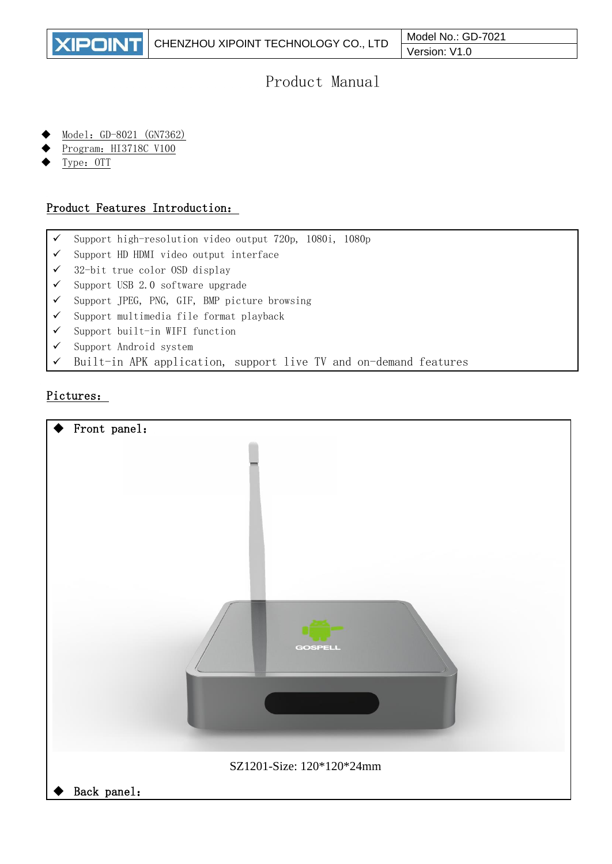

# Product Manual

- Model: GD-8021 (GN7362)
- Program: HI3718C V100
- Type: OTT

## Product Features Introduction:

- ✓ Support high-resolution video output 720p, 1080i, 1080p
- ✓ Support HD HDMI video output interface
- ✓ 32-bit true color OSD display
- ✓ Support USB 2.0 software upgrade
- ✓ Support JPEG, PNG, GIF, BMP picture browsing
- ✓ Support multimedia file format playback
- ✓ Support built-in WIFI function
- ✓ Support Android system
- ✓ Built-in APK application, support live TV and on-demand features

# Pictures: